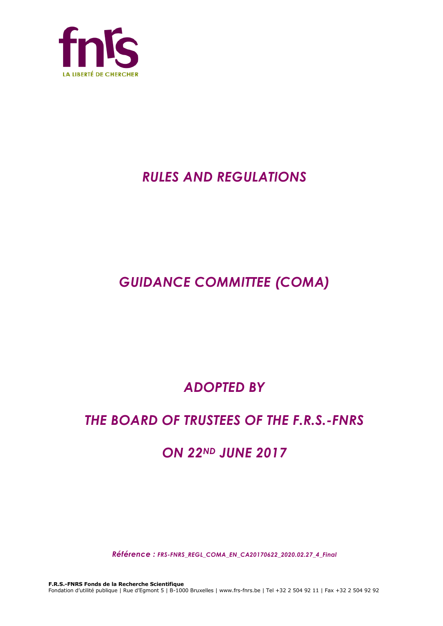

# *RULES AND REGULATIONS*

# *GUIDANCE COMMITTEE (COMA)*

# *ADOPTED BY*

## *THE BOARD OF TRUSTEES OF THE F.R.S.-FNRS*

## *ON 22ND JUNE 2017*

*Référence : FRS-FNRS\_REGL\_COMA\_EN\_CA20170622\_2020.02.27\_4\_Final*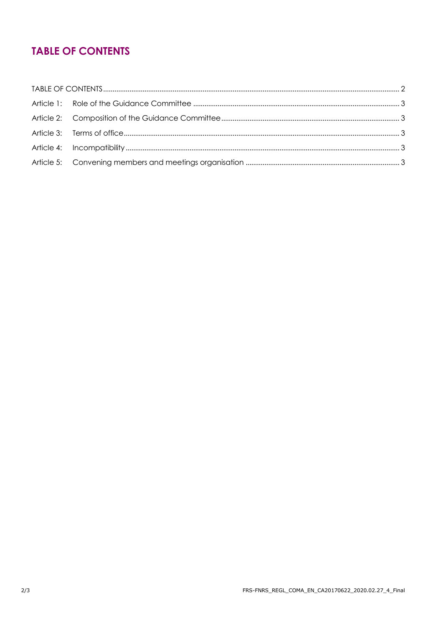## **TABLE OF CONTENTS**